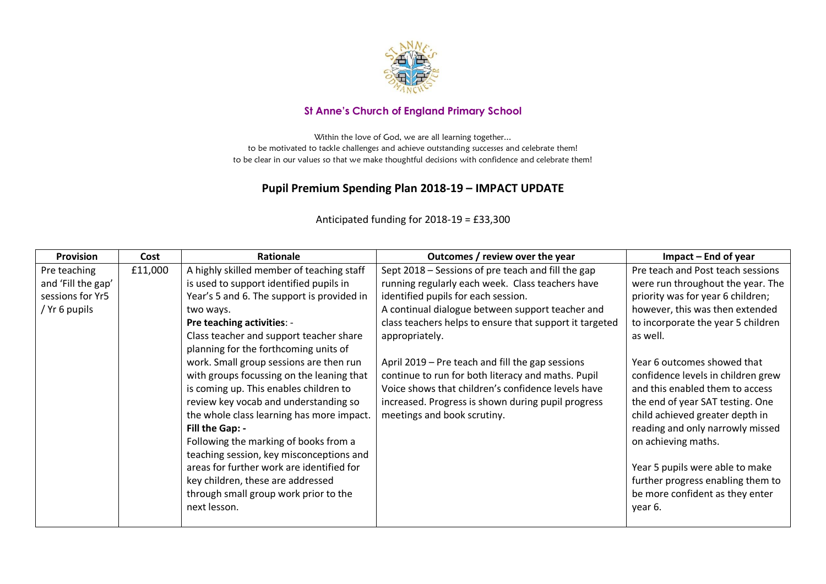

## **St Anne's Church of England Primary School**

Within the love of God, we are all learning together... to be motivated to tackle challenges and achieve outstanding successes and celebrate them! to be clear in our values so that we make thoughtful decisions with confidence and celebrate them!

## **Pupil Premium Spending Plan 2018-19 – IMPACT UPDATE**

| <b>Provision</b>   | Cost    | Rationale                                  | Outcomes / review over the year                         | Impact – End of year               |
|--------------------|---------|--------------------------------------------|---------------------------------------------------------|------------------------------------|
| Pre teaching       | £11,000 | A highly skilled member of teaching staff  | Sept 2018 – Sessions of pre teach and fill the gap      | Pre teach and Post teach sessions  |
| and 'Fill the gap' |         | is used to support identified pupils in    | running regularly each week. Class teachers have        | were run throughout the year. The  |
| sessions for Yr5   |         | Year's 5 and 6. The support is provided in | identified pupils for each session.                     | priority was for year 6 children;  |
| / Yr 6 pupils      |         | two ways.                                  | A continual dialogue between support teacher and        | however, this was then extended    |
|                    |         | Pre teaching activities: -                 | class teachers helps to ensure that support it targeted | to incorporate the year 5 children |
|                    |         | Class teacher and support teacher share    | appropriately.                                          | as well.                           |
|                    |         | planning for the forthcoming units of      |                                                         |                                    |
|                    |         | work. Small group sessions are then run    | April 2019 – Pre teach and fill the gap sessions        | Year 6 outcomes showed that        |
|                    |         | with groups focussing on the leaning that  | continue to run for both literacy and maths. Pupil      | confidence levels in children grew |
|                    |         | is coming up. This enables children to     | Voice shows that children's confidence levels have      | and this enabled them to access    |
|                    |         | review key vocab and understanding so      | increased. Progress is shown during pupil progress      | the end of year SAT testing. One   |
|                    |         | the whole class learning has more impact.  | meetings and book scrutiny.                             | child achieved greater depth in    |
|                    |         | Fill the Gap: -                            |                                                         | reading and only narrowly missed   |
|                    |         | Following the marking of books from a      |                                                         | on achieving maths.                |
|                    |         | teaching session, key misconceptions and   |                                                         |                                    |
|                    |         | areas for further work are identified for  |                                                         | Year 5 pupils were able to make    |
|                    |         | key children, these are addressed          |                                                         | further progress enabling them to  |
|                    |         | through small group work prior to the      |                                                         | be more confident as they enter    |
|                    |         | next lesson.                               |                                                         | year 6.                            |
|                    |         |                                            |                                                         |                                    |

## Anticipated funding for 2018-19 = £33,300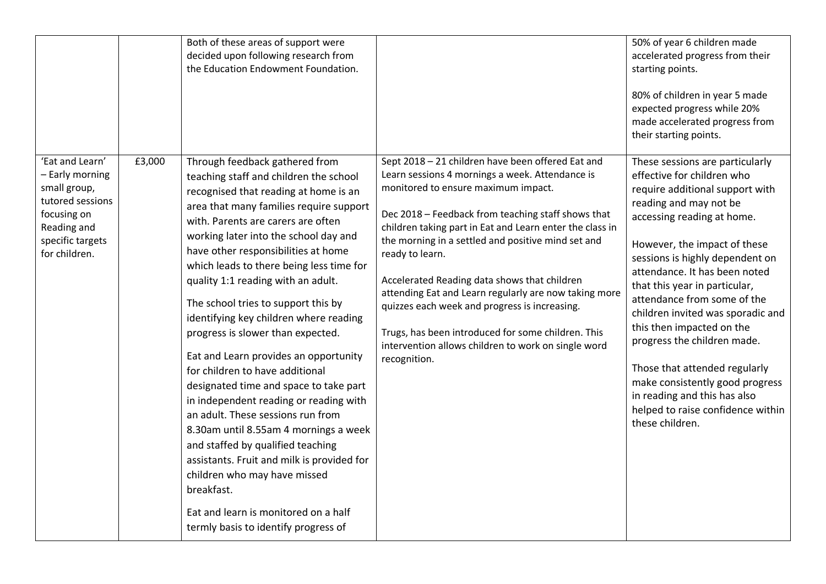|                                                                                                                                           |        | Both of these areas of support were<br>decided upon following research from<br>the Education Endowment Foundation.                                                                                                                                                                                                                                                                                                                                                                                                                                                                                                                                                                                                                                                                                                                                                                                                                                        |                                                                                                                                                                                                                                                                                                                                                                                                                                                                                                                                                                                                                               | 50% of year 6 children made<br>accelerated progress from their<br>starting points.<br>80% of children in year 5 made<br>expected progress while 20%<br>made accelerated progress from<br>their starting points.                                                                                                                                                                                                                                                                                                                                                                           |
|-------------------------------------------------------------------------------------------------------------------------------------------|--------|-----------------------------------------------------------------------------------------------------------------------------------------------------------------------------------------------------------------------------------------------------------------------------------------------------------------------------------------------------------------------------------------------------------------------------------------------------------------------------------------------------------------------------------------------------------------------------------------------------------------------------------------------------------------------------------------------------------------------------------------------------------------------------------------------------------------------------------------------------------------------------------------------------------------------------------------------------------|-------------------------------------------------------------------------------------------------------------------------------------------------------------------------------------------------------------------------------------------------------------------------------------------------------------------------------------------------------------------------------------------------------------------------------------------------------------------------------------------------------------------------------------------------------------------------------------------------------------------------------|-------------------------------------------------------------------------------------------------------------------------------------------------------------------------------------------------------------------------------------------------------------------------------------------------------------------------------------------------------------------------------------------------------------------------------------------------------------------------------------------------------------------------------------------------------------------------------------------|
| 'Eat and Learn'<br>- Early morning<br>small group,<br>tutored sessions<br>focusing on<br>Reading and<br>specific targets<br>for children. | £3,000 | Through feedback gathered from<br>teaching staff and children the school<br>recognised that reading at home is an<br>area that many families require support<br>with. Parents are carers are often<br>working later into the school day and<br>have other responsibilities at home<br>which leads to there being less time for<br>quality 1:1 reading with an adult.<br>The school tries to support this by<br>identifying key children where reading<br>progress is slower than expected.<br>Eat and Learn provides an opportunity<br>for children to have additional<br>designated time and space to take part<br>in independent reading or reading with<br>an adult. These sessions run from<br>8.30am until 8.55am 4 mornings a week<br>and staffed by qualified teaching<br>assistants. Fruit and milk is provided for<br>children who may have missed<br>breakfast.<br>Eat and learn is monitored on a half<br>termly basis to identify progress of | Sept 2018 - 21 children have been offered Eat and<br>Learn sessions 4 mornings a week. Attendance is<br>monitored to ensure maximum impact.<br>Dec 2018 - Feedback from teaching staff shows that<br>children taking part in Eat and Learn enter the class in<br>the morning in a settled and positive mind set and<br>ready to learn.<br>Accelerated Reading data shows that children<br>attending Eat and Learn regularly are now taking more<br>quizzes each week and progress is increasing.<br>Trugs, has been introduced for some children. This<br>intervention allows children to work on single word<br>recognition. | These sessions are particularly<br>effective for children who<br>require additional support with<br>reading and may not be<br>accessing reading at home.<br>However, the impact of these<br>sessions is highly dependent on<br>attendance. It has been noted<br>that this year in particular,<br>attendance from some of the<br>children invited was sporadic and<br>this then impacted on the<br>progress the children made.<br>Those that attended regularly<br>make consistently good progress<br>in reading and this has also<br>helped to raise confidence within<br>these children. |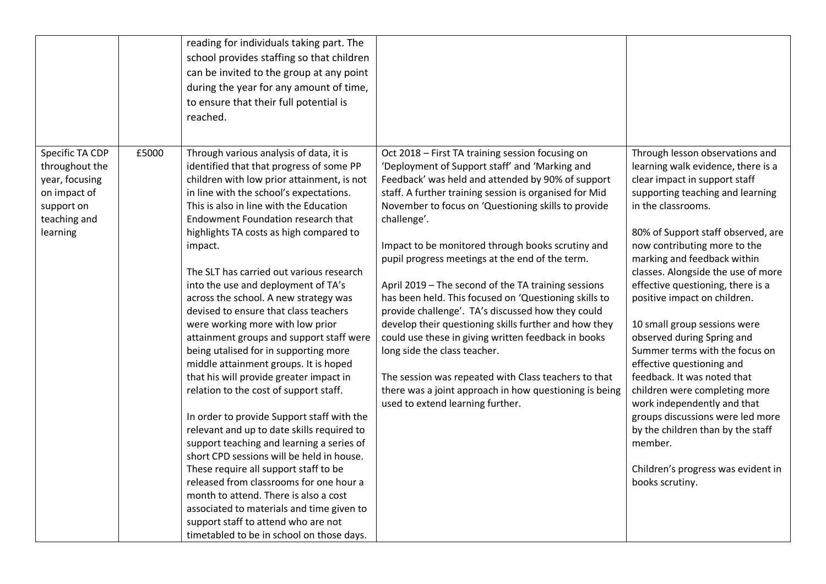|                 |       | reading for individuals taking part. The   |                                                        |                                    |
|-----------------|-------|--------------------------------------------|--------------------------------------------------------|------------------------------------|
|                 |       | school provides staffing so that children  |                                                        |                                    |
|                 |       | can be invited to the group at any point   |                                                        |                                    |
|                 |       | during the year for any amount of time,    |                                                        |                                    |
|                 |       | to ensure that their full potential is     |                                                        |                                    |
|                 |       |                                            |                                                        |                                    |
|                 |       | reached.                                   |                                                        |                                    |
|                 |       |                                            |                                                        |                                    |
| Specific TA CDP | £5000 | Through various analysis of data, it is    | Oct 2018 - First TA training session focusing on       | Through lesson observations and    |
| throughout the  |       | identified that that progress of some PP   | 'Deployment of Support staff' and 'Marking and         | learning walk evidence, there is a |
| year, focusing  |       | children with low prior attainment, is not | Feedback' was held and attended by 90% of support      | clear impact in support staff      |
| on impact of    |       | in line with the school's expectations.    | staff. A further training session is organised for Mid | supporting teaching and learning   |
| support on      |       | This is also in line with the Education    | November to focus on 'Questioning skills to provide    | in the classrooms.                 |
| teaching and    |       | Endowment Foundation research that         | challenge'.                                            |                                    |
| learning        |       | highlights TA costs as high compared to    |                                                        | 80% of Support staff observed, are |
|                 |       | impact.                                    | Impact to be monitored through books scrutiny and      | now contributing more to the       |
|                 |       |                                            | pupil progress meetings at the end of the term.        | marking and feedback within        |
|                 |       | The SLT has carried out various research   |                                                        | classes. Alongside the use of more |
|                 |       | into the use and deployment of TA's        | April 2019 - The second of the TA training sessions    | effective questioning, there is a  |
|                 |       | across the school. A new strategy was      | has been held. This focused on 'Questioning skills to  | positive impact on children.       |
|                 |       | devised to ensure that class teachers      | provide challenge'. TA's discussed how they could      |                                    |
|                 |       | were working more with low prior           | develop their questioning skills further and how they  | 10 small group sessions were       |
|                 |       | attainment groups and support staff were   | could use these in giving written feedback in books    | observed during Spring and         |
|                 |       | being utalised for in supporting more      | long side the class teacher.                           | Summer terms with the focus on     |
|                 |       | middle attainment groups. It is hoped      |                                                        | effective questioning and          |
|                 |       | that his will provide greater impact in    | The session was repeated with Class teachers to that   | feedback. It was noted that        |
|                 |       | relation to the cost of support staff.     | there was a joint approach in how questioning is being | children were completing more      |
|                 |       |                                            | used to extend learning further.                       | work independently and that        |
|                 |       | In order to provide Support staff with the |                                                        | groups discussions were led more   |
|                 |       | relevant and up to date skills required to |                                                        | by the children than by the staff  |
|                 |       | support teaching and learning a series of  |                                                        | member.                            |
|                 |       | short CPD sessions will be held in house.  |                                                        |                                    |
|                 |       | These require all support staff to be      |                                                        | Children's progress was evident in |
|                 |       | released from classrooms for one hour a    |                                                        | books scrutiny.                    |
|                 |       | month to attend. There is also a cost      |                                                        |                                    |
|                 |       | associated to materials and time given to  |                                                        |                                    |
|                 |       | support staff to attend who are not        |                                                        |                                    |
|                 |       | timetabled to be in school on those days.  |                                                        |                                    |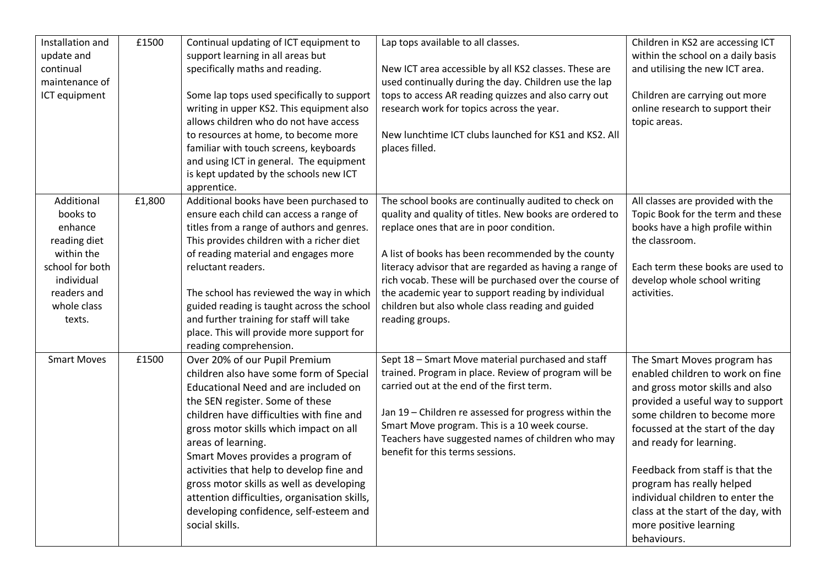| Installation and<br>update and<br>continual<br>maintenance of<br>ICT equipment                                                           | £1500  | Continual updating of ICT equipment to<br>support learning in all areas but<br>specifically maths and reading.<br>Some lap tops used specifically to support<br>writing in upper KS2. This equipment also<br>allows children who do not have access<br>to resources at home, to become more<br>familiar with touch screens, keyboards<br>and using ICT in general. The equipment<br>is kept updated by the schools new ICT<br>apprentice.                                                                | Lap tops available to all classes.<br>New ICT area accessible by all KS2 classes. These are<br>used continually during the day. Children use the lap<br>tops to access AR reading quizzes and also carry out<br>research work for topics across the year.<br>New lunchtime ICT clubs launched for KS1 and KS2. All<br>places filled.                                                                                                                                | Children in KS2 are accessing ICT<br>within the school on a daily basis<br>and utilising the new ICT area.<br>Children are carrying out more<br>online research to support their<br>topic areas.                                                                                                                                                                                                                          |
|------------------------------------------------------------------------------------------------------------------------------------------|--------|----------------------------------------------------------------------------------------------------------------------------------------------------------------------------------------------------------------------------------------------------------------------------------------------------------------------------------------------------------------------------------------------------------------------------------------------------------------------------------------------------------|---------------------------------------------------------------------------------------------------------------------------------------------------------------------------------------------------------------------------------------------------------------------------------------------------------------------------------------------------------------------------------------------------------------------------------------------------------------------|---------------------------------------------------------------------------------------------------------------------------------------------------------------------------------------------------------------------------------------------------------------------------------------------------------------------------------------------------------------------------------------------------------------------------|
| Additional<br>books to<br>enhance<br>reading diet<br>within the<br>school for both<br>individual<br>readers and<br>whole class<br>texts. | £1,800 | Additional books have been purchased to<br>ensure each child can access a range of<br>titles from a range of authors and genres.<br>This provides children with a richer diet<br>of reading material and engages more<br>reluctant readers.<br>The school has reviewed the way in which<br>guided reading is taught across the school<br>and further training for staff will take<br>place. This will provide more support for<br>reading comprehension.                                                 | The school books are continually audited to check on<br>quality and quality of titles. New books are ordered to<br>replace ones that are in poor condition.<br>A list of books has been recommended by the county<br>literacy advisor that are regarded as having a range of<br>rich vocab. These will be purchased over the course of<br>the academic year to support reading by individual<br>children but also whole class reading and guided<br>reading groups. | All classes are provided with the<br>Topic Book for the term and these<br>books have a high profile within<br>the classroom.<br>Each term these books are used to<br>develop whole school writing<br>activities.                                                                                                                                                                                                          |
| <b>Smart Moves</b>                                                                                                                       | £1500  | Over 20% of our Pupil Premium<br>children also have some form of Special<br>Educational Need and are included on<br>the SEN register. Some of these<br>children have difficulties with fine and<br>gross motor skills which impact on all<br>areas of learning.<br>Smart Moves provides a program of<br>activities that help to develop fine and<br>gross motor skills as well as developing<br>attention difficulties, organisation skills,<br>developing confidence, self-esteem and<br>social skills. | Sept 18 - Smart Move material purchased and staff<br>trained. Program in place. Review of program will be<br>carried out at the end of the first term.<br>Jan 19 - Children re assessed for progress within the<br>Smart Move program. This is a 10 week course.<br>Teachers have suggested names of children who may<br>benefit for this terms sessions.                                                                                                           | The Smart Moves program has<br>enabled children to work on fine<br>and gross motor skills and also<br>provided a useful way to support<br>some children to become more<br>focussed at the start of the day<br>and ready for learning.<br>Feedback from staff is that the<br>program has really helped<br>individual children to enter the<br>class at the start of the day, with<br>more positive learning<br>behaviours. |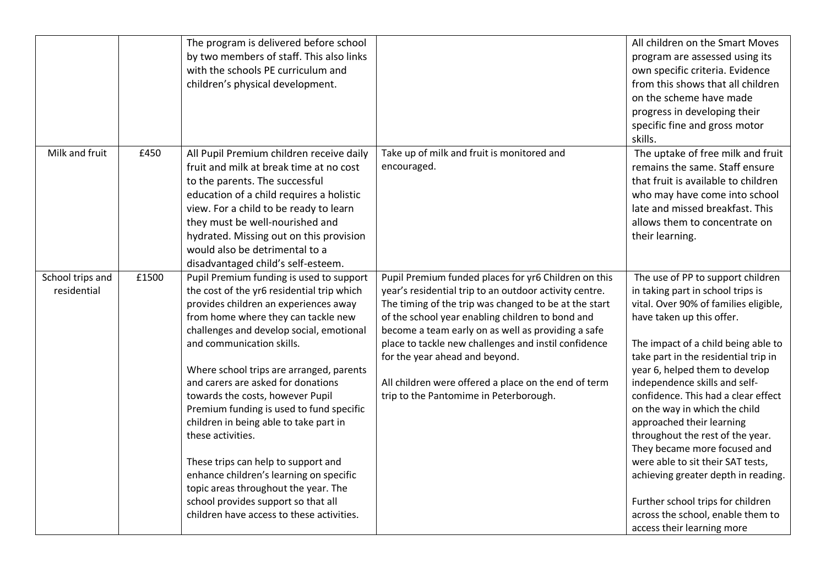|                                 |       | The program is delivered before school<br>by two members of staff. This also links<br>with the schools PE curriculum and<br>children's physical development.                                                                                                                                                                                                                                                                                                                                                                                                                                                                                                                                   |                                                                                                                                                                                                                                                                                                                                                                                                                                                                               | All children on the Smart Moves<br>program are assessed using its<br>own specific criteria. Evidence<br>from this shows that all children<br>on the scheme have made<br>progress in developing their<br>specific fine and gross motor<br>skills.                                                                                                                                                                                                                                                                                                                                                                                                            |
|---------------------------------|-------|------------------------------------------------------------------------------------------------------------------------------------------------------------------------------------------------------------------------------------------------------------------------------------------------------------------------------------------------------------------------------------------------------------------------------------------------------------------------------------------------------------------------------------------------------------------------------------------------------------------------------------------------------------------------------------------------|-------------------------------------------------------------------------------------------------------------------------------------------------------------------------------------------------------------------------------------------------------------------------------------------------------------------------------------------------------------------------------------------------------------------------------------------------------------------------------|-------------------------------------------------------------------------------------------------------------------------------------------------------------------------------------------------------------------------------------------------------------------------------------------------------------------------------------------------------------------------------------------------------------------------------------------------------------------------------------------------------------------------------------------------------------------------------------------------------------------------------------------------------------|
| Milk and fruit                  | £450  | All Pupil Premium children receive daily<br>fruit and milk at break time at no cost<br>to the parents. The successful<br>education of a child requires a holistic<br>view. For a child to be ready to learn<br>they must be well-nourished and<br>hydrated. Missing out on this provision<br>would also be detrimental to a<br>disadvantaged child's self-esteem.                                                                                                                                                                                                                                                                                                                              | Take up of milk and fruit is monitored and<br>encouraged.                                                                                                                                                                                                                                                                                                                                                                                                                     | The uptake of free milk and fruit<br>remains the same. Staff ensure<br>that fruit is available to children<br>who may have come into school<br>late and missed breakfast. This<br>allows them to concentrate on<br>their learning.                                                                                                                                                                                                                                                                                                                                                                                                                          |
| School trips and<br>residential | £1500 | Pupil Premium funding is used to support<br>the cost of the yr6 residential trip which<br>provides children an experiences away<br>from home where they can tackle new<br>challenges and develop social, emotional<br>and communication skills.<br>Where school trips are arranged, parents<br>and carers are asked for donations<br>towards the costs, however Pupil<br>Premium funding is used to fund specific<br>children in being able to take part in<br>these activities.<br>These trips can help to support and<br>enhance children's learning on specific<br>topic areas throughout the year. The<br>school provides support so that all<br>children have access to these activities. | Pupil Premium funded places for yr6 Children on this<br>year's residential trip to an outdoor activity centre.<br>The timing of the trip was changed to be at the start<br>of the school year enabling children to bond and<br>become a team early on as well as providing a safe<br>place to tackle new challenges and instil confidence<br>for the year ahead and beyond.<br>All children were offered a place on the end of term<br>trip to the Pantomime in Peterborough. | The use of PP to support children<br>in taking part in school trips is<br>vital. Over 90% of families eligible,<br>have taken up this offer.<br>The impact of a child being able to<br>take part in the residential trip in<br>year 6, helped them to develop<br>independence skills and self-<br>confidence. This had a clear effect<br>on the way in which the child<br>approached their learning<br>throughout the rest of the year.<br>They became more focused and<br>were able to sit their SAT tests,<br>achieving greater depth in reading.<br>Further school trips for children<br>across the school, enable them to<br>access their learning more |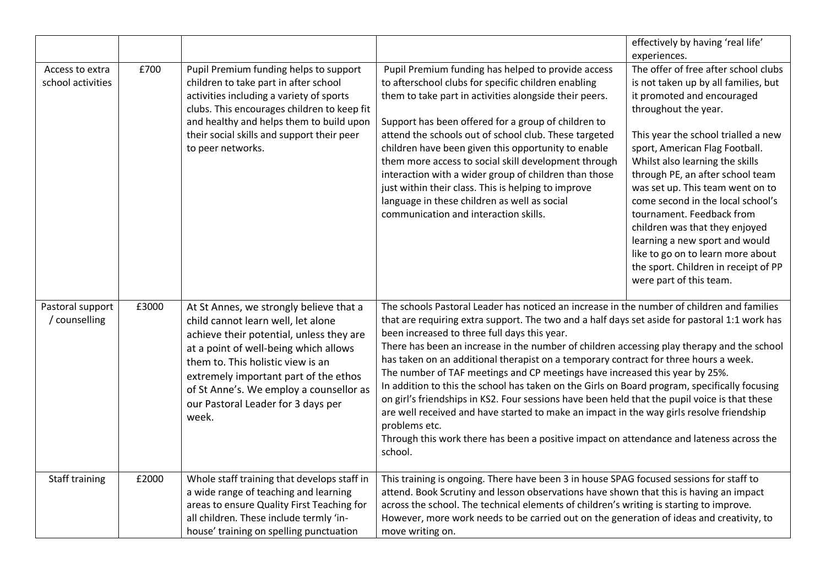|                                      |       |                                                                                                                                                                                                                                                                                                                                            |                                                                                                                                                                                                                                                                                                                                                                                                                                                                                                                                                                                                                                                                                                                                                                                                                                                                                                                                        | effectively by having 'real life'                                                                                                                                                                                                                                                                                                                                                                                                                                                                                                                                                    |
|--------------------------------------|-------|--------------------------------------------------------------------------------------------------------------------------------------------------------------------------------------------------------------------------------------------------------------------------------------------------------------------------------------------|----------------------------------------------------------------------------------------------------------------------------------------------------------------------------------------------------------------------------------------------------------------------------------------------------------------------------------------------------------------------------------------------------------------------------------------------------------------------------------------------------------------------------------------------------------------------------------------------------------------------------------------------------------------------------------------------------------------------------------------------------------------------------------------------------------------------------------------------------------------------------------------------------------------------------------------|--------------------------------------------------------------------------------------------------------------------------------------------------------------------------------------------------------------------------------------------------------------------------------------------------------------------------------------------------------------------------------------------------------------------------------------------------------------------------------------------------------------------------------------------------------------------------------------|
| Access to extra<br>school activities | £700  | Pupil Premium funding helps to support<br>children to take part in after school<br>activities including a variety of sports<br>clubs. This encourages children to keep fit<br>and healthy and helps them to build upon<br>their social skills and support their peer<br>to peer networks.                                                  | Pupil Premium funding has helped to provide access<br>to afterschool clubs for specific children enabling<br>them to take part in activities alongside their peers.<br>Support has been offered for a group of children to<br>attend the schools out of school club. These targeted<br>children have been given this opportunity to enable<br>them more access to social skill development through<br>interaction with a wider group of children than those<br>just within their class. This is helping to improve<br>language in these children as well as social<br>communication and interaction skills.                                                                                                                                                                                                                                                                                                                            | experiences.<br>The offer of free after school clubs<br>is not taken up by all families, but<br>it promoted and encouraged<br>throughout the year.<br>This year the school trialled a new<br>sport, American Flag Football.<br>Whilst also learning the skills<br>through PE, an after school team<br>was set up. This team went on to<br>come second in the local school's<br>tournament. Feedback from<br>children was that they enjoyed<br>learning a new sport and would<br>like to go on to learn more about<br>the sport. Children in receipt of PP<br>were part of this team. |
| Pastoral support<br>/ counselling    | £3000 | At St Annes, we strongly believe that a<br>child cannot learn well, let alone<br>achieve their potential, unless they are<br>at a point of well-being which allows<br>them to. This holistic view is an<br>extremely important part of the ethos<br>of St Anne's. We employ a counsellor as<br>our Pastoral Leader for 3 days per<br>week. | The schools Pastoral Leader has noticed an increase in the number of children and families<br>that are requiring extra support. The two and a half days set aside for pastoral 1:1 work has<br>been increased to three full days this year.<br>There has been an increase in the number of children accessing play therapy and the school<br>has taken on an additional therapist on a temporary contract for three hours a week.<br>The number of TAF meetings and CP meetings have increased this year by 25%.<br>In addition to this the school has taken on the Girls on Board program, specifically focusing<br>on girl's friendships in KS2. Four sessions have been held that the pupil voice is that these<br>are well received and have started to make an impact in the way girls resolve friendship<br>problems etc.<br>Through this work there has been a positive impact on attendance and lateness across the<br>school. |                                                                                                                                                                                                                                                                                                                                                                                                                                                                                                                                                                                      |
| Staff training                       | £2000 | Whole staff training that develops staff in<br>a wide range of teaching and learning<br>areas to ensure Quality First Teaching for<br>all children. These include termly 'in-<br>house' training on spelling punctuation                                                                                                                   | This training is ongoing. There have been 3 in house SPAG focused sessions for staff to<br>attend. Book Scrutiny and lesson observations have shown that this is having an impact<br>across the school. The technical elements of children's writing is starting to improve.<br>However, more work needs to be carried out on the generation of ideas and creativity, to<br>move writing on.                                                                                                                                                                                                                                                                                                                                                                                                                                                                                                                                           |                                                                                                                                                                                                                                                                                                                                                                                                                                                                                                                                                                                      |